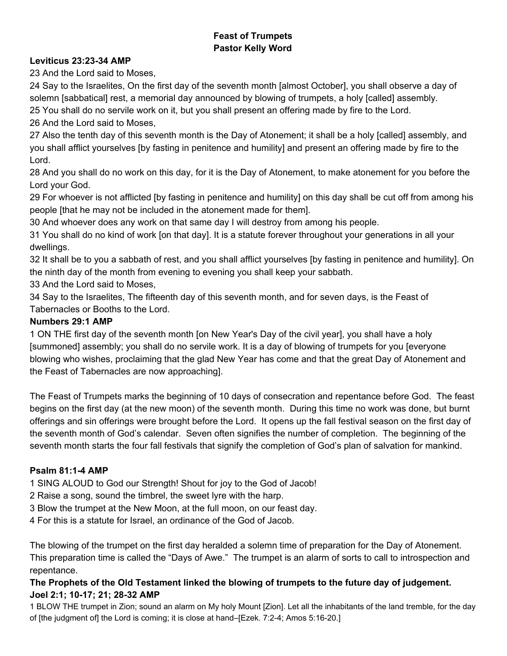## **Feast of Trumpets Pastor Kelly Word**

## **Leviticus 23:23-34 AMP**

23 And the Lord said to Moses,

24 Say to the Israelites, On the first day of the seventh month [almost October], you shall observe a day of solemn [sabbatical] rest, a memorial day announced by blowing of trumpets, a holy [called] assembly.

25 You shall do no servile work on it, but you shall present an offering made by fire to the Lord.

26 And the Lord said to Moses,

27 Also the tenth day of this seventh month is the Day of Atonement; it shall be a holy [called] assembly, and you shall afflict yourselves [by fasting in penitence and humility] and present an offering made by fire to the Lord.

28 And you shall do no work on this day, for it is the Day of Atonement, to make atonement for you before the Lord your God.

29 For whoever is not afflicted [by fasting in penitence and humility] on this day shall be cut off from among his people [that he may not be included in the atonement made for them].

30 And whoever does any work on that same day I will destroy from among his people.

31 You shall do no kind of work [on that day]. It is a statute forever throughout your generations in all your dwellings.

32 It shall be to you a sabbath of rest, and you shall afflict yourselves [by fasting in penitence and humility]. On the ninth day of the month from evening to evening you shall keep your sabbath.

33 And the Lord said to Moses,

34 Say to the Israelites, The fifteenth day of this seventh month, and for seven days, is the Feast of Tabernacles or Booths to the Lord.

## **Numbers 29:1 AMP**

1 ON THE first day of the seventh month [on New Year's Day of the civil year], you shall have a holy [summoned] assembly; you shall do no servile work. It is a day of blowing of trumpets for you [everyone blowing who wishes, proclaiming that the glad New Year has come and that the great Day of Atonement and the Feast of Tabernacles are now approaching].

The Feast of Trumpets marks the beginning of 10 days of consecration and repentance before God. The feast begins on the first day (at the new moon) of the seventh month. During this time no work was done, but burnt offerings and sin offerings were brought before the Lord. It opens up the fall festival season on the first day of the seventh month of God's calendar. Seven often signifies the number of completion. The beginning of the seventh month starts the four fall festivals that signify the completion of God's plan of salvation for mankind.

## **Psalm 81:14 AMP**

1 SING ALOUD to God our Strength! Shout for joy to the God of Jacob!

2 Raise a song, sound the timbrel, the sweet lyre with the harp.

3 Blow the trumpet at the New Moon, at the full moon, on our feast day.

4 For this is a statute for Israel, an ordinance of the God of Jacob.

The blowing of the trumpet on the first day heralded a solemn time of preparation for the Day of Atonement. This preparation time is called the "Days of Awe." The trumpet is an alarm of sorts to call to introspection and repentance.

## **The Prophets of the Old Testament linked the blowing of trumpets to the future day of judgement.** Joel 2:1; 10-17; 21; 28-32 AMP

1 BLOW THE trumpet in Zion; sound an alarm on My holy Mount [Zion]. Let all the inhabitants of the land tremble, for the day of [the judgment of] the Lord is coming; it is close at hand–[Ezek. 7:24; Amos 5:1620.]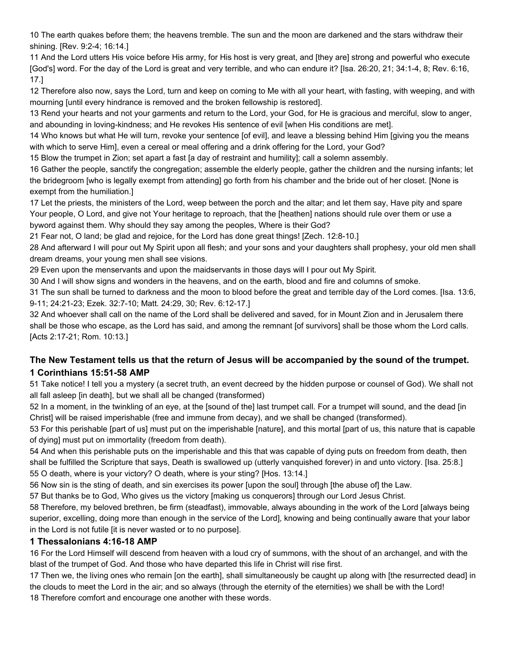10 The earth quakes before them; the heavens tremble. The sun and the moon are darkened and the stars withdraw their shining. [Rev. 9:2-4; 16:14.]

11 And the Lord utters His voice before His army, for His host is very great, and [they are] strong and powerful who execute [God's] word. For the day of the Lord is great and very terrible, and who can endure it? [Isa. 26:20, 21; 34:14, 8; Rev. 6:16, 17.]

12 Therefore also now, says the Lord, turn and keep on coming to Me with all your heart, with fasting, with weeping, and with mourning [until every hindrance is removed and the broken fellowship is restored].

13 Rend your hearts and not your garments and return to the Lord, your God, for He is gracious and merciful, slow to anger, and abounding in loving-kindness; and He revokes His sentence of evil [when His conditions are met].

14 Who knows but what He will turn, revoke your sentence [of evil], and leave a blessing behind Him [giving you the means with which to serve Him], even a cereal or meal offering and a drink offering for the Lord, your God?

15 Blow the trumpet in Zion; set apart a fast [a day of restraint and humility]; call a solemn assembly.

16 Gather the people, sanctify the congregation; assemble the elderly people, gather the children and the nursing infants; let the bridegroom [who is legally exempt from attending] go forth from his chamber and the bride out of her closet. [None is exempt from the humiliation.]

17 Let the priests, the ministers of the Lord, weep between the porch and the altar; and let them say, Have pity and spare Your people, O Lord, and give not Your heritage to reproach, that the [heathen] nations should rule over them or use a byword against them. Why should they say among the peoples, Where is their God?

21 Fear not, O land; be glad and rejoice, for the Lord has done great things! [Zech. 12:810.]

28 And afterward I will pour out My Spirit upon all flesh; and your sons and your daughters shall prophesy, your old men shall dream dreams, your young men shall see visions.

29 Even upon the menservants and upon the maidservants in those days will I pour out My Spirit.

30 And I will show signs and wonders in the heavens, and on the earth, blood and fire and columns of smoke.

31 The sun shall be turned to darkness and the moon to blood before the great and terrible day of the Lord comes. [Isa. 13:6, 9-11; 24:21-23; Ezek. 32:7-10; Matt. 24:29, 30; Rev. 6:12-17.]

32 And whoever shall call on the name of the Lord shall be delivered and saved, for in Mount Zion and in Jerusalem there shall be those who escape, as the Lord has said, and among the remnant [of survivors] shall be those whom the Lord calls. [Acts 2:17-21; Rom. 10:13.]

## **The New Testament tells us that the return of Jesus will be accompanied by the sound of the trumpet. 1 Corinthians 15:51-58 AMP**

51 Take notice! I tell you a mystery (a secret truth, an event decreed by the hidden purpose or counsel of God). We shall not all fall asleep [in death], but we shall all be changed (transformed)

52 In a moment, in the twinkling of an eye, at the [sound of the] last trumpet call. For a trumpet will sound, and the dead [in Christ] will be raised imperishable (free and immune from decay), and we shall be changed (transformed).

53 For this perishable [part of us] must put on the imperishable [nature], and this mortal [part of us, this nature that is capable of dying] must put on immortality (freedom from death).

54 And when this perishable puts on the imperishable and this that was capable of dying puts on freedom from death, then shall be fulfilled the Scripture that says, Death is swallowed up (utterly vanquished forever) in and unto victory. [Isa. 25:8.] 55 O death, where is your victory? O death, where is your sting? [Hos. 13:14.]

56 Now sin is the sting of death, and sin exercises its power [upon the soul] through [the abuse of] the Law.

57 But thanks be to God, Who gives us the victory [making us conquerors] through our Lord Jesus Christ.

58 Therefore, my beloved brethren, be firm (steadfast), immovable, always abounding in the work of the Lord [always being superior, excelling, doing more than enough in the service of the Lord], knowing and being continually aware that your labor in the Lord is not futile [it is never wasted or to no purpose].

## **1 Thessalonians 4:16-18 AMP**

16 For the Lord Himself will descend from heaven with a loud cry of summons, with the shout of an archangel, and with the blast of the trumpet of God. And those who have departed this life in Christ will rise first.

17 Then we, the living ones who remain [on the earth], shall simultaneously be caught up along with [the resurrected dead] in the clouds to meet the Lord in the air; and so always (through the eternity of the eternities) we shall be with the Lord! 18 Therefore comfort and encourage one another with these words.